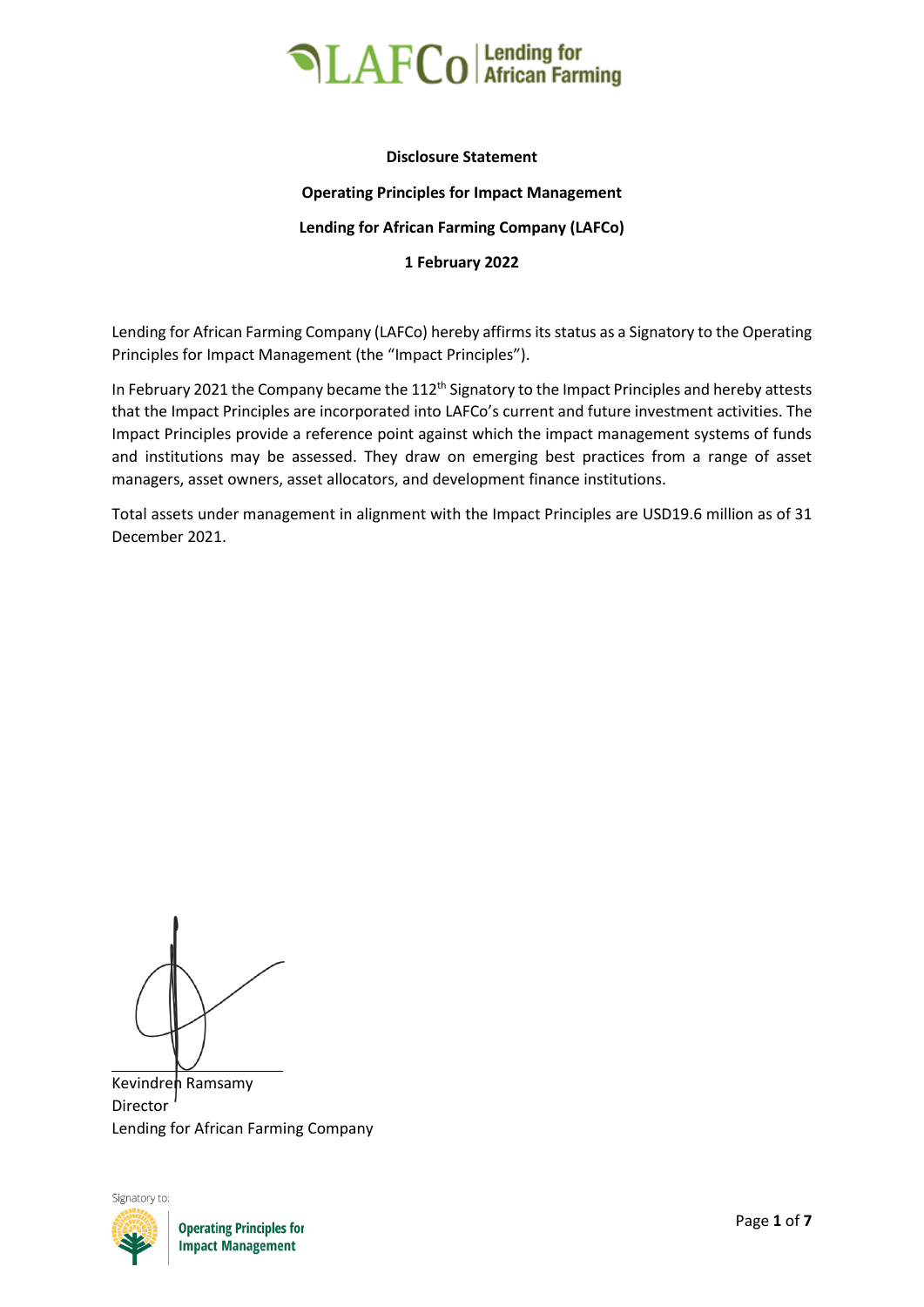

### **Disclosure Statement Operating Principles for Impact Management Lending for African Farming Company (LAFCo) 1 February 2022**

Lending for African Farming Company (LAFCo) hereby affirms its status as a Signatory to the Operating Principles for Impact Management (the "Impact Principles").

In February 2021 the Company became the 112<sup>th</sup> Signatory to the Impact Principles and hereby attests that the Impact Principles are incorporated into LAFCo's current and future investment activities. The Impact Principles provide a reference point against which the impact management systems of funds and institutions may be assessed. They draw on emerging best practices from a range of asset managers, asset owners, asset allocators, and development finance institutions.

Total assets under management in alignment with the Impact Principles are USD19.6 million as of 31 December 2021.

Kevindren Ramsamy Director Lending for African Farming Company



**Operating Principles for Impact Management**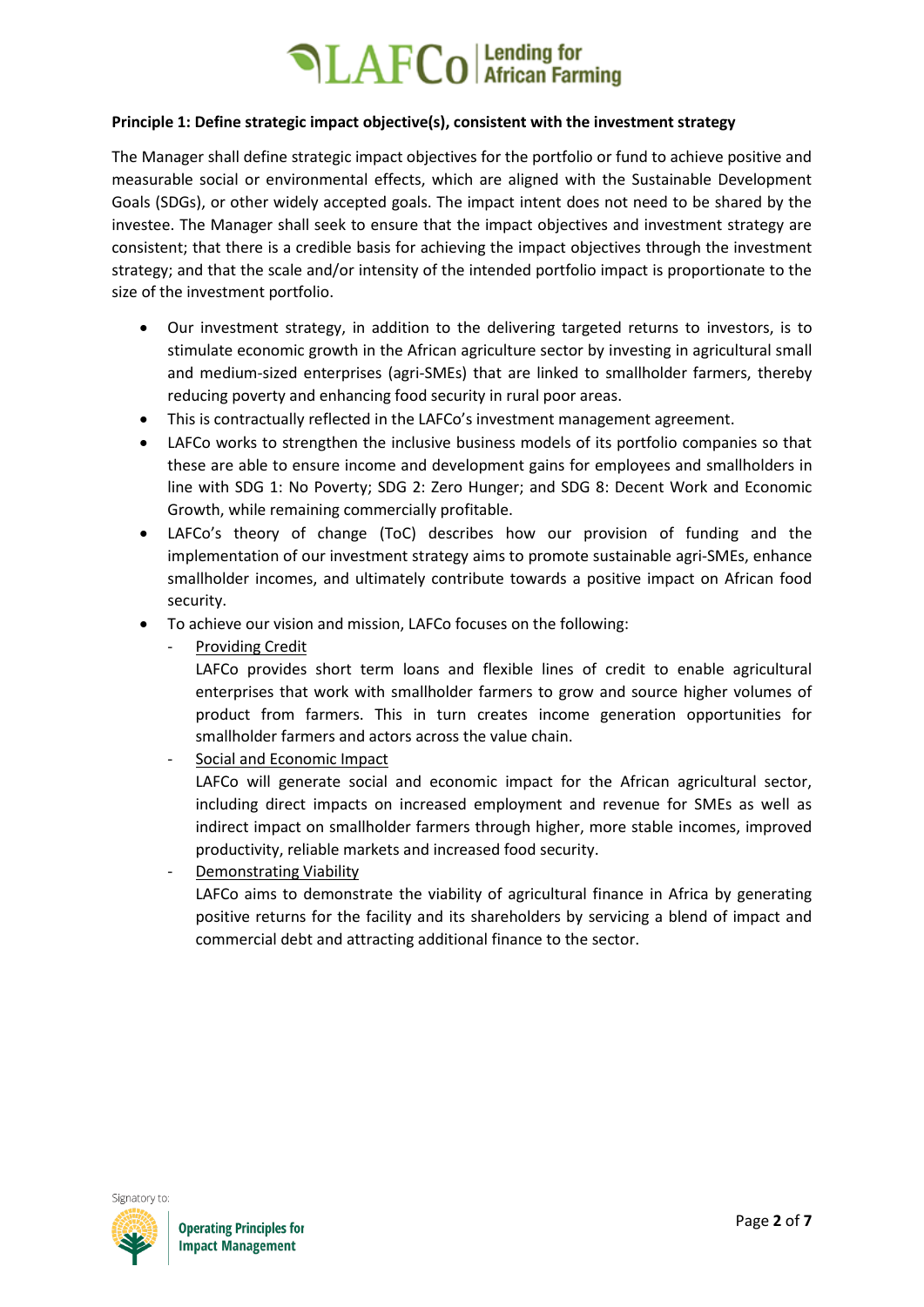#### **Principle 1: Define strategic impact objective(s), consistent with the investment strategy**

The Manager shall define strategic impact objectives for the portfolio or fund to achieve positive and measurable social or environmental effects, which are aligned with the Sustainable Development Goals (SDGs), or other widely accepted goals. The impact intent does not need to be shared by the investee. The Manager shall seek to ensure that the impact objectives and investment strategy are consistent; that there is a credible basis for achieving the impact objectives through the investment strategy; and that the scale and/or intensity of the intended portfolio impact is proportionate to the size of the investment portfolio.

- Our investment strategy, in addition to the delivering targeted returns to investors, is to stimulate economic growth in the African agriculture sector by investing in agricultural small and medium-sized enterprises (agri-SMEs) that are linked to smallholder farmers, thereby reducing poverty and enhancing food security in rural poor areas.
- This is contractually reflected in the LAFCo's investment management agreement.
- LAFCo works to strengthen the inclusive business models of its portfolio companies so that these are able to ensure income and development gains for employees and smallholders in line with SDG 1: No Poverty; SDG 2: Zero Hunger; and SDG 8: Decent Work and Economic Growth, while remaining commercially profitable.
- LAFCo's theory of change (ToC) describes how our provision of funding and the implementation of our investment strategy aims to promote sustainable agri-SMEs, enhance smallholder incomes, and ultimately contribute towards a positive impact on African food security.
- To achieve our vision and mission, LAFCo focuses on the following:
	- Providing Credit

LAFCo provides short term loans and flexible lines of credit to enable agricultural enterprises that work with smallholder farmers to grow and source higher volumes of product from farmers. This in turn creates income generation opportunities for smallholder farmers and actors across the value chain.

- Social and Economic Impact

LAFCo will generate social and economic impact for the African agricultural sector, including direct impacts on increased employment and revenue for SMEs as well as indirect impact on smallholder farmers through higher, more stable incomes, improved productivity, reliable markets and increased food security.

Demonstrating Viability

LAFCo aims to demonstrate the viability of agricultural finance in Africa by generating positive returns for the facility and its shareholders by servicing a blend of impact and commercial debt and attracting additional finance to the sector.

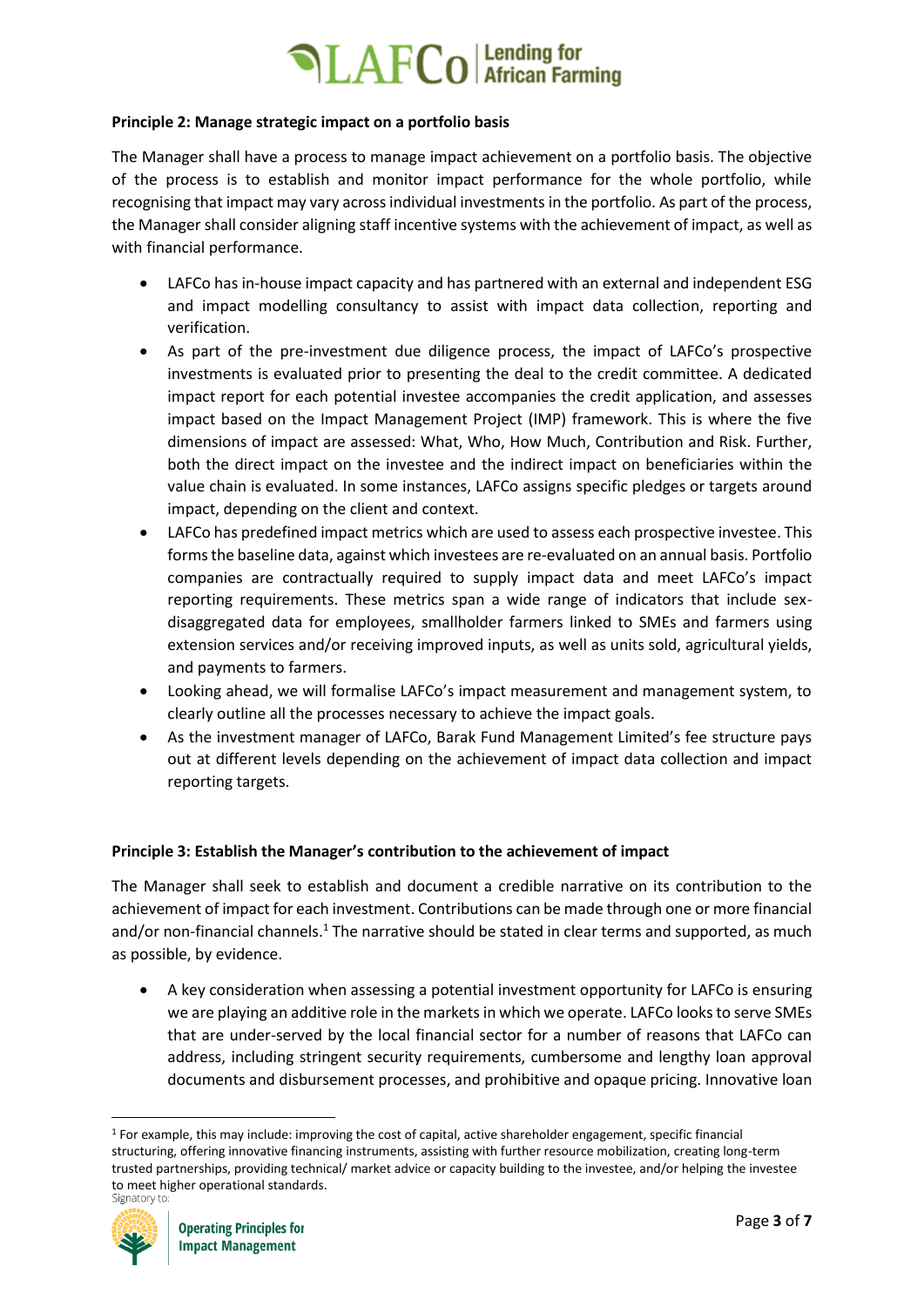### **Principle 2: Manage strategic impact on a portfolio basis**

The Manager shall have a process to manage impact achievement on a portfolio basis. The objective of the process is to establish and monitor impact performance for the whole portfolio, while recognising that impact may vary across individual investments in the portfolio. As part of the process, the Manager shall consider aligning staff incentive systems with the achievement of impact, as well as with financial performance.

- LAFCo has in-house impact capacity and has partnered with an external and independent ESG and impact modelling consultancy to assist with impact data collection, reporting and verification.
- As part of the pre-investment due diligence process, the impact of LAFCo's prospective investments is evaluated prior to presenting the deal to the credit committee. A dedicated impact report for each potential investee accompanies the credit application, and assesses impact based on the Impact Management Project (IMP) framework. This is where the five dimensions of impact are assessed: What, Who, How Much, Contribution and Risk. Further, both the direct impact on the investee and the indirect impact on beneficiaries within the value chain is evaluated. In some instances, LAFCo assigns specific pledges or targets around impact, depending on the client and context.
- LAFCo has predefined impact metrics which are used to assess each prospective investee. This forms the baseline data, against which investees are re-evaluated on an annual basis. Portfolio companies are contractually required to supply impact data and meet LAFCo's impact reporting requirements. These metrics span a wide range of indicators that include sexdisaggregated data for employees, smallholder farmers linked to SMEs and farmers using extension services and/or receiving improved inputs, as well as units sold, agricultural yields, and payments to farmers.
- Looking ahead, we will formalise LAFCo's impact measurement and management system, to clearly outline all the processes necessary to achieve the impact goals.
- As the investment manager of LAFCo, Barak Fund Management Limited's fee structure pays out at different levels depending on the achievement of impact data collection and impact reporting targets.

### **Principle 3: Establish the Manager's contribution to the achievement of impact**

The Manager shall seek to establish and document a credible narrative on its contribution to the achievement of impact for each investment. Contributions can be made through one or more financial and/or non-financial channels.<sup>1</sup> The narrative should be stated in clear terms and supported, as much as possible, by evidence.

• A key consideration when assessing a potential investment opportunity for LAFCo is ensuring we are playing an additive role in the markets in which we operate. LAFCo looks to serve SMEs that are under-served by the local financial sector for a number of reasons that LAFCo can address, including stringent security requirements, cumbersome and lengthy loan approval documents and disbursement processes, and prohibitive and opaque pricing. Innovative loan

 $1$  For example, this may include: improving the cost of capital, active shareholder engagement, specific financial structuring, offering innovative financing instruments, assisting with further resource mobilization, creating long-term trusted partnerships, providing technical/ market advice or capacity building to the investee, and/or helping the investee to meet higher operational standards.

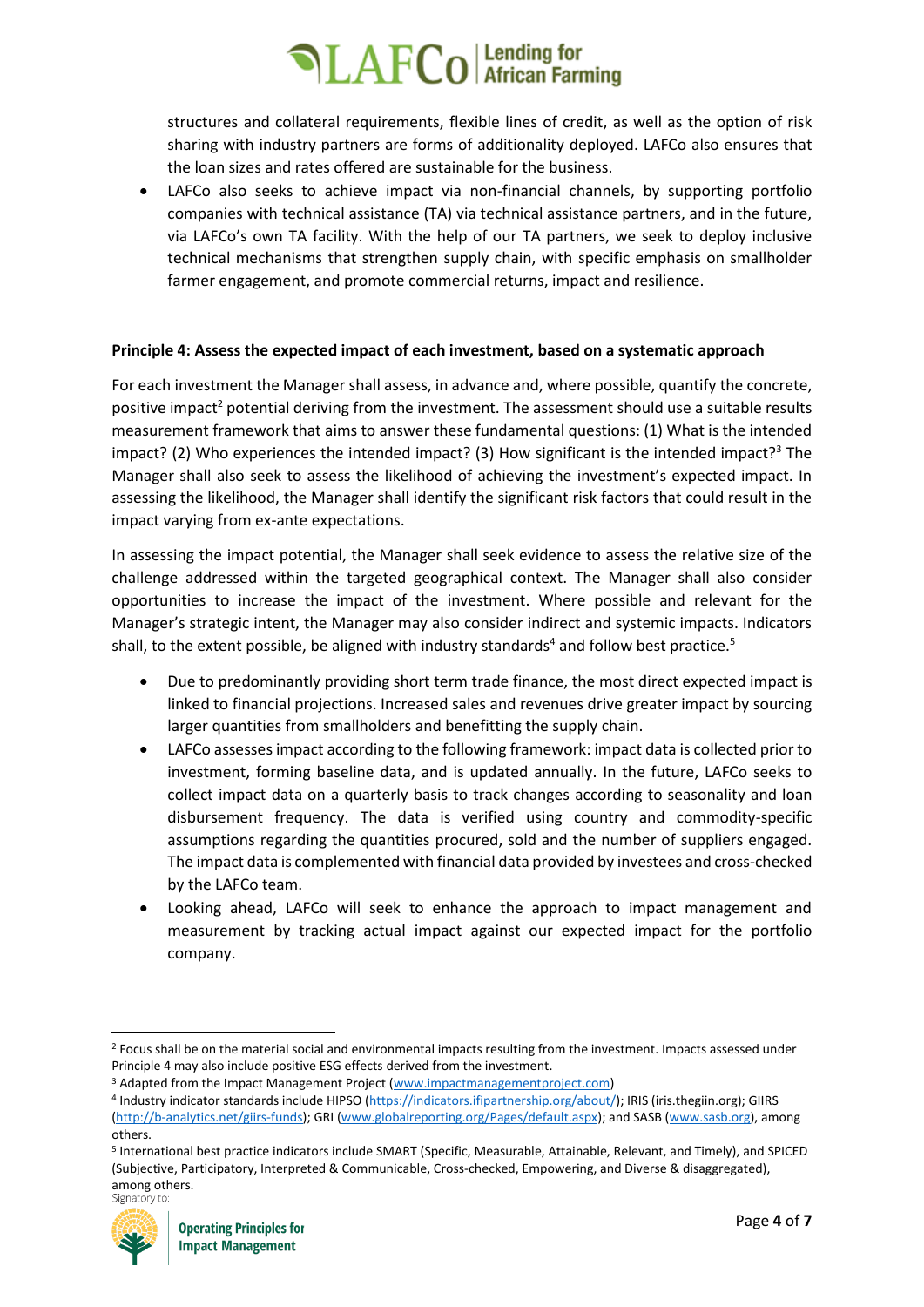structures and collateral requirements, flexible lines of credit, as well as the option of risk sharing with industry partners are forms of additionality deployed. LAFCo also ensures that the loan sizes and rates offered are sustainable for the business.

LAFCo also seeks to achieve impact via non-financial channels, by supporting portfolio companies with technical assistance (TA) via technical assistance partners, and in the future, via LAFCo's own TA facility. With the help of our TA partners, we seek to deploy inclusive technical mechanisms that strengthen supply chain, with specific emphasis on smallholder farmer engagement, and promote commercial returns, impact and resilience.

### **Principle 4: Assess the expected impact of each investment, based on a systematic approach**

For each investment the Manager shall assess, in advance and, where possible, quantify the concrete, positive impact<sup>2</sup> potential deriving from the investment. The assessment should use a suitable results measurement framework that aims to answer these fundamental questions: (1) What is the intended impact? (2) Who experiences the intended impact? (3) How significant is the intended impact?<sup>3</sup> The Manager shall also seek to assess the likelihood of achieving the investment's expected impact. In assessing the likelihood, the Manager shall identify the significant risk factors that could result in the impact varying from ex-ante expectations.

In assessing the impact potential, the Manager shall seek evidence to assess the relative size of the challenge addressed within the targeted geographical context. The Manager shall also consider opportunities to increase the impact of the investment. Where possible and relevant for the Manager's strategic intent, the Manager may also consider indirect and systemic impacts. Indicators shall, to the extent possible, be aligned with industry standards<sup>4</sup> and follow best practice.<sup>5</sup>

- Due to predominantly providing short term trade finance, the most direct expected impact is linked to financial projections. Increased sales and revenues drive greater impact by sourcing larger quantities from smallholders and benefitting the supply chain.
- LAFCo assesses impact according to the following framework: impact data is collected prior to investment, forming baseline data, and is updated annually. In the future, LAFCo seeks to collect impact data on a quarterly basis to track changes according to seasonality and loan disbursement frequency. The data is verified using country and commodity-specific assumptions regarding the quantities procured, sold and the number of suppliers engaged. The impact data is complemented with financial data provided by investees and cross-checked by the LAFCo team.
- Looking ahead, LAFCo will seek to enhance the approach to impact management and measurement by tracking actual impact against our expected impact for the portfolio company.

<sup>&</sup>lt;sup>5</sup> International best practice indicators include SMART (Specific, Measurable, Attainable, Relevant, and Timely), and SPICED (Subjective, Participatory, Interpreted & Communicable, Cross-checked, Empowering, and Diverse & disaggregated), among others.<br>Signatory to:



<sup>&</sup>lt;sup>2</sup> Focus shall be on the material social and environmental impacts resulting from the investment. Impacts assessed under Principle 4 may also include positive ESG effects derived from the investment.

<sup>&</sup>lt;sup>3</sup> Adapted from the Impact Management Project [\(www.impactmanagementproject.com\)](http://www.impactmanagementproject.com/)

<sup>&</sup>lt;sup>4</sup> Industry indicator standards include HIPSO [\(https://indicators.ifipartnership.org/about/\)](https://indicators.ifipartnership.org/about/); IRIS (iris.thegiin.org); GIIRS [\(http://b-analytics.net/giirs-funds\)](http://b-analytics.net/giirs-funds); GRI [\(www.globalreporting.org/Pages/default.aspx\)](http://www.globalreporting.org/Pages/default.aspx); and SASB [\(www.sasb.org\)](http://www.sasb.org/), among others.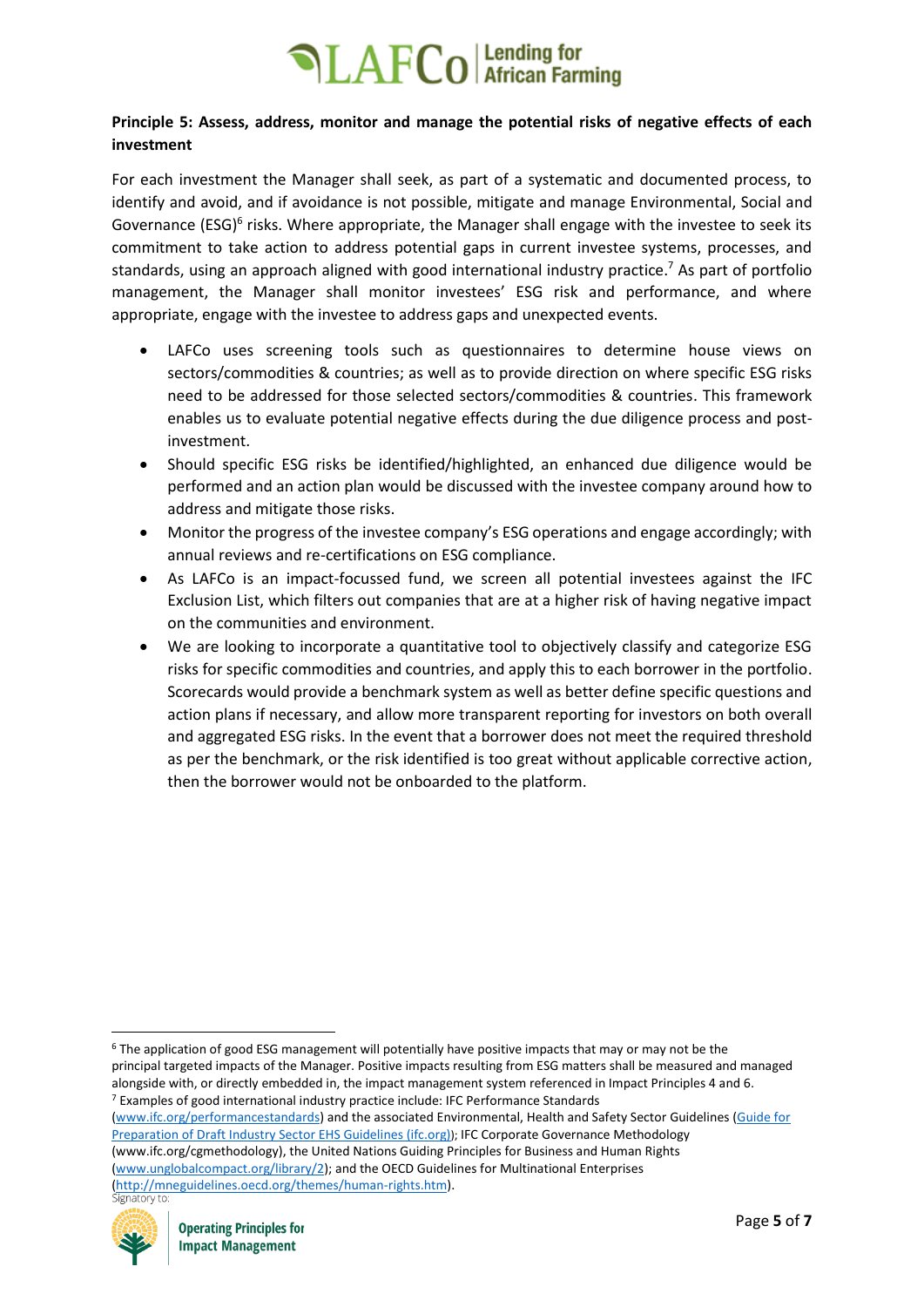### **Principle 5: Assess, address, monitor and manage the potential risks of negative effects of each investment**

For each investment the Manager shall seek, as part of a systematic and documented process, to identify and avoid, and if avoidance is not possible, mitigate and manage Environmental, Social and Governance (ESG)<sup>6</sup> risks. Where appropriate, the Manager shall engage with the investee to seek its commitment to take action to address potential gaps in current investee systems, processes, and standards, using an approach aligned with good international industry practice.<sup>7</sup> As part of portfolio management, the Manager shall monitor investees' ESG risk and performance, and where appropriate, engage with the investee to address gaps and unexpected events.

- LAFCo uses screening tools such as questionnaires to determine house views on sectors/commodities & countries; as well as to provide direction on where specific ESG risks need to be addressed for those selected sectors/commodities & countries. This framework enables us to evaluate potential negative effects during the due diligence process and postinvestment.
- Should specific ESG risks be identified/highlighted, an enhanced due diligence would be performed and an action plan would be discussed with the investee company around how to address and mitigate those risks.
- Monitor the progress of the investee company's ESG operations and engage accordingly; with annual reviews and re-certifications on ESG compliance.
- As LAFCo is an impact-focussed fund, we screen all potential investees against the IFC Exclusion List, which filters out companies that are at a higher risk of having negative impact on the communities and environment.
- We are looking to incorporate a quantitative tool to objectively classify and categorize ESG risks for specific commodities and countries, and apply this to each borrower in the portfolio. Scorecards would provide a benchmark system as well as better define specific questions and action plans if necessary, and allow more transparent reporting for investors on both overall and aggregated ESG risks. In the event that a borrower does not meet the required threshold as per the benchmark, or the risk identified is too great without applicable corrective action, then the borrower would not be onboarded to the platform.

[Preparation of Draft Industry Sector EHS Guidelines \(ifc.org\)](https://www.ifc.org/wps/wcm/connect/377bfe12-a3c0-433f-a5e3-c51dbebe38d4/SectorSpecificEHSGuidelines_Applicability.pdf?MOD=AJPERES&CVID=lakafE1)); IFC Corporate Governance Methodology (www.ifc.org/cgmethodology), the United Nations Guiding Principles for Business and Human Rights

[\(www.unglobalcompact.org/library/2\)](http://www.unglobalcompact.org/library/2); and the OECD Guidelines for Multinational Enterprises [\(http://mneguidelines.oecd.org/themes/human-rights.htm\)](http://mneguidelines.oecd.org/themes/human-rights.htm).



<sup>6</sup> The application of good ESG management will potentially have positive impacts that may or may not be the principal targeted impacts of the Manager. Positive impacts resulting from ESG matters shall be measured and managed alongside with, or directly embedded in, the impact management system referenced in Impact Principles 4 and 6. <sup>7</sup> Examples of good international industry practice include: IFC Performance Standards [\(www.ifc.org/performancestandards\)](http://www.ifc.org/performancestandards) and the associated Environmental, Health and Safety Sector Guidelines [\(Guide for](https://www.ifc.org/wps/wcm/connect/377bfe12-a3c0-433f-a5e3-c51dbebe38d4/SectorSpecificEHSGuidelines_Applicability.pdf?MOD=AJPERES&CVID=lakafE1)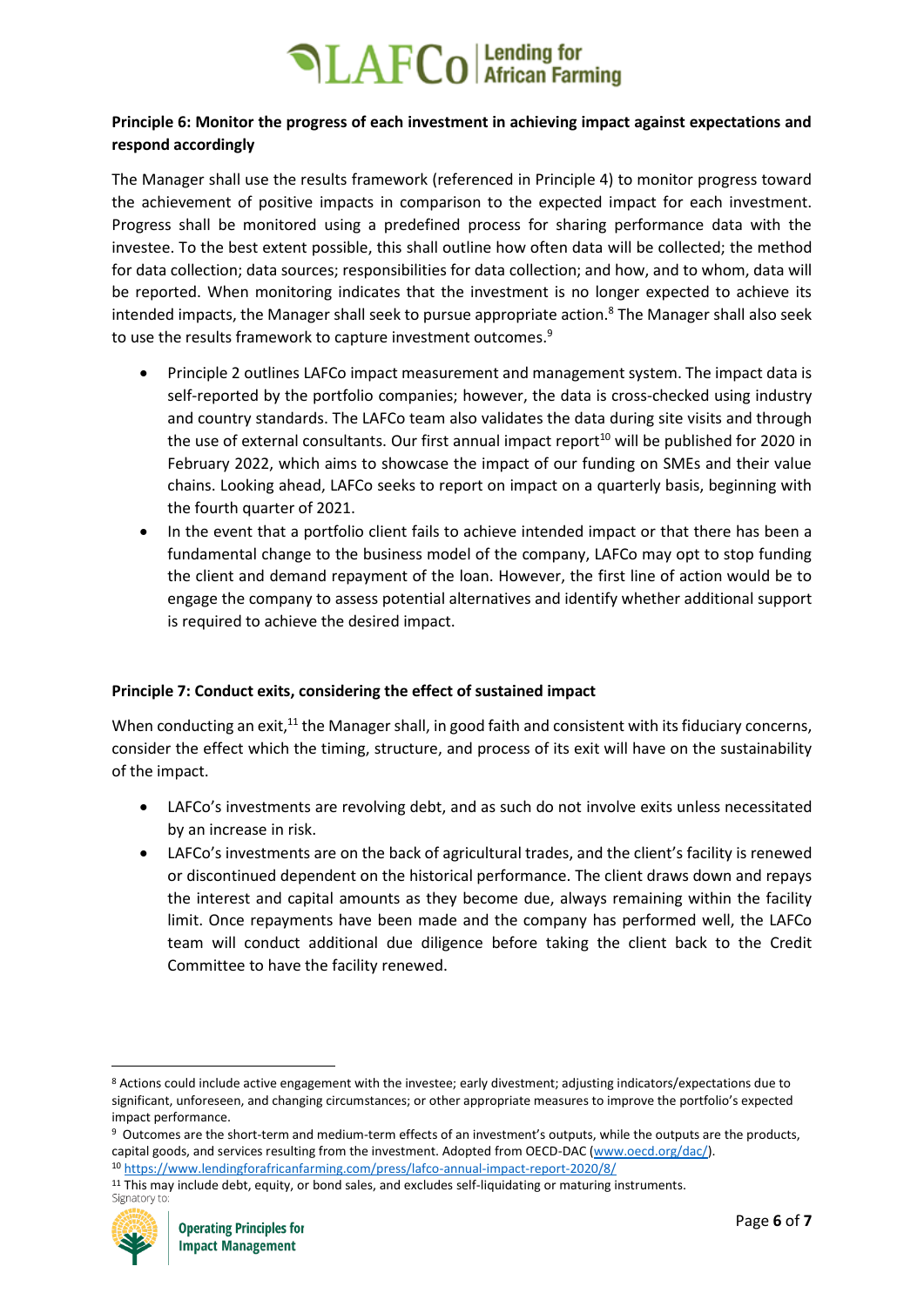### **Principle 6: Monitor the progress of each investment in achieving impact against expectations and respond accordingly**

The Manager shall use the results framework (referenced in Principle 4) to monitor progress toward the achievement of positive impacts in comparison to the expected impact for each investment. Progress shall be monitored using a predefined process for sharing performance data with the investee. To the best extent possible, this shall outline how often data will be collected; the method for data collection; data sources; responsibilities for data collection; and how, and to whom, data will be reported. When monitoring indicates that the investment is no longer expected to achieve its intended impacts, the Manager shall seek to pursue appropriate action.<sup>8</sup> The Manager shall also seek to use the results framework to capture investment outcomes.<sup>9</sup>

- Principle 2 outlines LAFCo impact measurement and management system. The impact data is self-reported by the portfolio companies; however, the data is cross-checked using industry and country standards. The LAFCo team also validates the data during site visits and through the use of external consultants. Our first annual impact report<sup>10</sup> will be published for 2020 in February 2022, which aims to showcase the impact of our funding on SMEs and their value chains. Looking ahead, LAFCo seeks to report on impact on a quarterly basis, beginning with the fourth quarter of 2021.
- In the event that a portfolio client fails to achieve intended impact or that there has been a fundamental change to the business model of the company, LAFCo may opt to stop funding the client and demand repayment of the loan. However, the first line of action would be to engage the company to assess potential alternatives and identify whether additional support is required to achieve the desired impact.

### **Principle 7: Conduct exits, considering the effect of sustained impact**

When conducting an exit, $^{11}$  the Manager shall, in good faith and consistent with its fiduciary concerns, consider the effect which the timing, structure, and process of its exit will have on the sustainability of the impact.

- LAFCo's investments are revolving debt, and as such do not involve exits unless necessitated by an increase in risk.
- LAFCo's investments are on the back of agricultural trades, and the client's facility is renewed or discontinued dependent on the historical performance. The client draws down and repays the interest and capital amounts as they become due, always remaining within the facility limit. Once repayments have been made and the company has performed well, the LAFCo team will conduct additional due diligence before taking the client back to the Credit Committee to have the facility renewed.

<sup>&</sup>lt;sup>11</sup> This may include debt, equity, or bond sales, and excludes self-liquidating or maturing instruments.<br>Signatory to:



<sup>8</sup> Actions could include active engagement with the investee; early divestment; adjusting indicators/expectations due to significant, unforeseen, and changing circumstances; or other appropriate measures to improve the portfolio's expected impact performance.

<sup>&</sup>lt;sup>9</sup> Outcomes are the short-term and medium-term effects of an investment's outputs, while the outputs are the products, capital goods, and services resulting from the investment. Adopted from OECD-DAC [\(www.oecd.org/dac/\)](http://www.oecd.org/dac/).

<sup>10</sup> <https://www.lendingforafricanfarming.com/press/lafco-annual-impact-report-2020/8/>